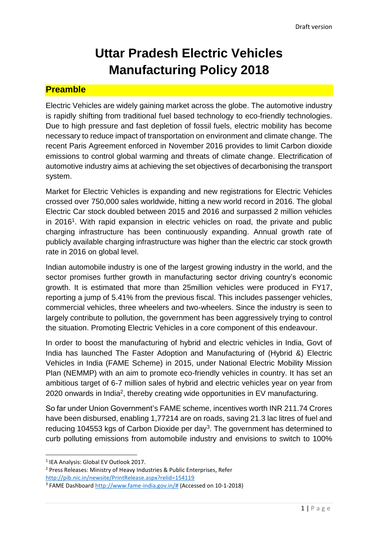# **Uttar Pradesh Electric Vehicles Manufacturing Policy 2018**

#### **Preamble**

Electric Vehicles are widely gaining market across the globe. The automotive industry is rapidly shifting from traditional fuel based technology to eco-friendly technologies. Due to high pressure and fast depletion of fossil fuels, electric mobility has become necessary to reduce impact of transportation on environment and climate change. The recent Paris Agreement enforced in November 2016 provides to limit Carbon dioxide emissions to control global warming and threats of climate change. Electrification of automotive industry aims at achieving the set objectives of decarbonising the transport system.

Market for Electric Vehicles is expanding and new registrations for Electric Vehicles crossed over 750,000 sales worldwide, hitting a new world record in 2016. The global Electric Car stock doubled between 2015 and 2016 and surpassed 2 million vehicles in 2016<sup>1</sup>. With rapid expansion in electric vehicles on road, the private and public charging infrastructure has been continuously expanding. Annual growth rate of publicly available charging infrastructure was higher than the electric car stock growth rate in 2016 on global level.

Indian automobile industry is one of the largest growing industry in the world, and the sector promises further growth in manufacturing sector driving country's economic growth. It is estimated that more than 25million vehicles were produced in FY17, reporting a jump of 5.41% from the previous fiscal. This includes passenger vehicles, commercial vehicles, three wheelers and two-wheelers. Since the industry is seen to largely contribute to pollution, the government has been aggressively trying to control the situation. Promoting Electric Vehicles in a core component of this endeavour.

In order to boost the manufacturing of hybrid and electric vehicles in India, Govt of India has launched The Faster Adoption and Manufacturing of (Hybrid &) Electric Vehicles in India (FAME Scheme) in 2015, under National Electric Mobility Mission Plan (NEMMP) with an aim to promote eco-friendly vehicles in country. It has set an ambitious target of 6-7 million sales of hybrid and electric vehicles year on year from 2020 onwards in India<sup>2</sup>, thereby creating wide opportunities in EV manufacturing.

So far under Union Government's FAME scheme, incentives worth INR 211.74 Crores have been disbursed, enabling 1,77214 are on roads, saving 21.3 lac litres of fuel and reducing 104553 kgs of Carbon Dioxide per day<sup>3</sup>. The government has determined to curb polluting emissions from automobile industry and envisions to switch to 100%

1

<http://pib.nic.in/newsite/PrintRelease.aspx?relid=154119>

<sup>1</sup> IEA Analysis: Global EV Outlook 2017.

<sup>2</sup> Press Releases: Ministry of Heavy Industries & Public Enterprises, Refer

<sup>&</sup>lt;sup>3</sup> FAME Dashboard [http://www.fame-india.gov.in/#](http://www.fame-india.gov.in/) (Accessed on 10-1-2018)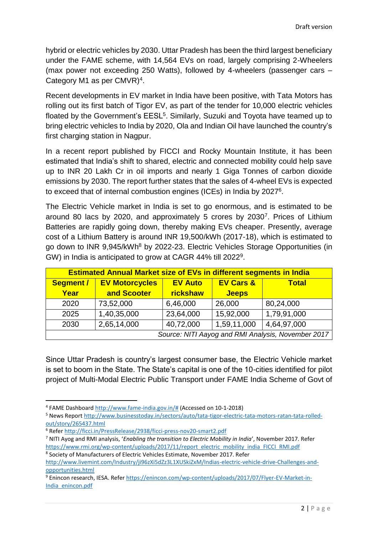hybrid or electric vehicles by 2030. Uttar Pradesh has been the third largest beneficiary under the FAME scheme, with 14,564 EVs on road, largely comprising 2-Wheelers (max power not exceeding 250 Watts), followed by 4-wheelers (passenger cars – Category M1 as per CMVR)<sup>4</sup>.

Recent developments in EV market in India have been positive, with Tata Motors has rolling out its first batch of Tigor EV, as part of the tender for 10,000 electric vehicles floated by the Government's EESL<sup>5</sup>. Similarly, Suzuki and Toyota have teamed up to bring electric vehicles to India by 2020, Ola and Indian Oil have launched the country's first charging station in Nagpur.

In a recent report published by FICCI and Rocky Mountain Institute, it has been estimated that India's shift to shared, electric and connected mobility could help save up to INR 20 Lakh Cr in oil imports and nearly 1 Giga Tonnes of carbon dioxide emissions by 2030. The report further states that the sales of 4-wheel EVs is expected to exceed that of internal combustion engines (ICEs) in India by 2027<sup>6</sup>.

The Electric Vehicle market in India is set to go enormous, and is estimated to be around 80 lacs by 2020, and approximately 5 crores by 2030<sup>7</sup> . Prices of Lithium Batteries are rapidly going down, thereby making EVs cheaper. Presently, average cost of a Lithium Battery is around INR 19,500/kWh (2017-18), which is estimated to go down to INR 9,945/kWh<sup>8</sup> by 2022-23. Electric Vehicles Storage Opportunities (in GW) in India is anticipated to grow at CAGR 44% till 2022<sup>9</sup>.

| <b>Estimated Annual Market size of EVs in different segments in India</b> |                       |                 |                      |              |  |
|---------------------------------------------------------------------------|-----------------------|-----------------|----------------------|--------------|--|
| <b>Segment /</b>                                                          | <b>EV Motorcycles</b> | <b>EV Auto</b>  | <b>EV Cars &amp;</b> | <b>Total</b> |  |
| Year                                                                      | and Scooter           | <b>rickshaw</b> | <b>Jeeps</b>         |              |  |
| 2020                                                                      | 73,52,000             | 6,46,000        | 26,000               | 80,24,000    |  |
| 2025                                                                      | 1,40,35,000           | 23,64,000       | 15,92,000            | 1,79,91,000  |  |
| 2030                                                                      | 2,65,14,000           | 40,72,000       | 1,59,11,000          | 4,64,97,000  |  |
| Source: NITI Aayog and RMI Analysis, November 2017                        |                       |                 |                      |              |  |

Since Uttar Pradesh is country's largest consumer base, the Electric Vehicle market is set to boom in the State. The State's capital is one of the 10-cities identified for pilot project of Multi-Modal Electric Public Transport under FAME India Scheme of Govt of

 $\overline{\phantom{a}}$ 

<sup>&</sup>lt;sup>4</sup> FAME Dashboard [http://www.fame-india.gov.in/#](http://www.fame-india.gov.in/) (Accessed on 10-1-2018)

<sup>5</sup> News Report [http://www.businesstoday.in/sectors/auto/tata-tigor-electric-tata-motors-ratan-tata-rolled](http://www.businesstoday.in/sectors/auto/tata-tigor-electric-tata-motors-ratan-tata-rolled-out/story/265437.html)[out/story/265437.html](http://www.businesstoday.in/sectors/auto/tata-tigor-electric-tata-motors-ratan-tata-rolled-out/story/265437.html)

<sup>6</sup> Refe[r http://ficci.in/PressRelease/2938/ficci-press-nov20-smart2.pdf](http://ficci.in/PressRelease/2938/ficci-press-nov20-smart2.pdf)

<sup>7</sup> NITI Ayog and RMI analysis, '*Enabling the transition to Electric Mobility in India*', November 2017. Refer [https://www.rmi.org/wp-content/uploads/2017/11/report\\_electric\\_mobility\\_india\\_FICCI\\_RMI.pdf](https://www.rmi.org/wp-content/uploads/2017/11/report_electric_mobility_india_FICCI_RMI.pdf)

<sup>8</sup> Society of Manufacturers of Electric Vehicles Estimate, November 2017. Refer [http://www.livemint.com/Industry/ji96zXi5dZz3L1XUSkiZxM/Indias-electric-vehicle-drive-Challenges-and](http://www.livemint.com/Industry/ji96zXi5dZz3L1XUSkiZxM/Indias-electric-vehicle-drive-Challenges-and-opportunities.html)[opportunities.html](http://www.livemint.com/Industry/ji96zXi5dZz3L1XUSkiZxM/Indias-electric-vehicle-drive-Challenges-and-opportunities.html)

<sup>9</sup> Enincon research, IESA. Refer [https://enincon.com/wp-content/uploads/2017/07/Flyer-EV-Market-in-](https://enincon.com/wp-content/uploads/2017/07/Flyer-EV-Market-in-India_enincon.pdf)[India\\_enincon.pdf](https://enincon.com/wp-content/uploads/2017/07/Flyer-EV-Market-in-India_enincon.pdf)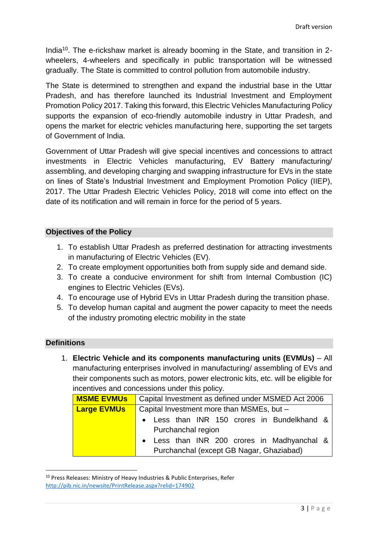India<sup>10</sup>. The e-rickshaw market is already booming in the State, and transition in 2wheelers, 4-wheelers and specifically in public transportation will be witnessed gradually. The State is committed to control pollution from automobile industry.

The State is determined to strengthen and expand the industrial base in the Uttar Pradesh, and has therefore launched its Industrial Investment and Employment Promotion Policy 2017. Taking this forward, this Electric Vehicles Manufacturing Policy supports the expansion of eco-friendly automobile industry in Uttar Pradesh, and opens the market for electric vehicles manufacturing here, supporting the set targets of Government of India.

Government of Uttar Pradesh will give special incentives and concessions to attract investments in Electric Vehicles manufacturing, EV Battery manufacturing/ assembling, and developing charging and swapping infrastructure for EVs in the state on lines of State's Industrial Investment and Employment Promotion Policy (IIEP), 2017. The Uttar Pradesh Electric Vehicles Policy, 2018 will come into effect on the date of its notification and will remain in force for the period of 5 years.

#### **Objectives of the Policy**

- 1. To establish Uttar Pradesh as preferred destination for attracting investments in manufacturing of Electric Vehicles (EV).
- 2. To create employment opportunities both from supply side and demand side.
- 3. To create a conducive environment for shift from Internal Combustion (IC) engines to Electric Vehicles (EVs).
- 4. To encourage use of Hybrid EVs in Uttar Pradesh during the transition phase.
- 5. To develop human capital and augment the power capacity to meet the needs of the industry promoting electric mobility in the state

#### **Definitions**

1

1. **Electric Vehicle and its components manufacturing units (EVMUs)** – All manufacturing enterprises involved in manufacturing/ assembling of EVs and their components such as motors, power electronic kits, etc. will be eligible for incentives and concessions under this policy.

| <b>MSME EVMUS</b>  | Capital Investment as defined under MSMED Act 2006 |  |  |
|--------------------|----------------------------------------------------|--|--|
| <b>Large EVMUs</b> | Capital Investment more than MSMEs, but -          |  |  |
|                    | • Less than INR 150 crores in Bundelkhand &        |  |  |
|                    | Purchanchal region                                 |  |  |
|                    | • Less than INR 200 crores in Madhyanchal &        |  |  |
|                    | Purchanchal (except GB Nagar, Ghaziabad)           |  |  |

<sup>&</sup>lt;sup>10</sup> Press Releases: Ministry of Heavy Industries & Public Enterprises, Refer <http://pib.nic.in/newsite/PrintRelease.aspx?relid=174902>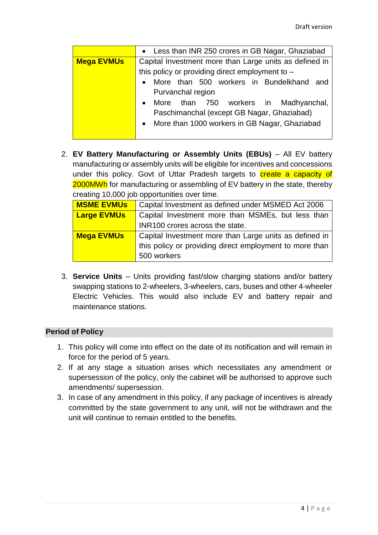|                   | • Less than INR 250 crores in GB Nagar, Ghaziabad      |  |  |
|-------------------|--------------------------------------------------------|--|--|
| <b>Mega EVMUs</b> | Capital Investment more than Large units as defined in |  |  |
|                   | this policy or providing direct employment to -        |  |  |
|                   | • More than 500 workers in Bundelkhand and             |  |  |
|                   | Purvanchal region                                      |  |  |
|                   | • More than 750 workers in Madhyanchal,                |  |  |
|                   | Paschimanchal (except GB Nagar, Ghaziabad)             |  |  |
|                   | • More than 1000 workers in GB Nagar, Ghaziabad        |  |  |
|                   |                                                        |  |  |

2. **EV Battery Manufacturing or Assembly Units (EBUs)** – All EV battery manufacturing or assembly units will be eligible for incentives and concessions under this policy. Govt of Uttar Pradesh targets to create a capacity of 2000MWh for manufacturing or assembling of EV battery in the state, thereby creating 10,000 job opportunities over time.

| <b>MSME EVMUS</b>  | Capital Investment as defined under MSMED Act 2006      |  |  |
|--------------------|---------------------------------------------------------|--|--|
| <b>Large EVMUs</b> | Capital Investment more than MSMEs, but less than       |  |  |
|                    | INR100 crores across the state.                         |  |  |
| <b>Mega EVMUs</b>  | Capital Investment more than Large units as defined in  |  |  |
|                    | this policy or providing direct employment to more than |  |  |
|                    | 500 workers                                             |  |  |

3. **Service Units** – Units providing fast/slow charging stations and/or battery swapping stations to 2-wheelers, 3-wheelers, cars, buses and other 4-wheeler Electric Vehicles. This would also include EV and battery repair and maintenance stations.

#### **Period of Policy**

- 1. This policy will come into effect on the date of its notification and will remain in force for the period of 5 years.
- 2. If at any stage a situation arises which necessitates any amendment or supersession of the policy, only the cabinet will be authorised to approve such amendments/ supersession.
- 3. In case of any amendment in this policy, if any package of incentives is already committed by the state government to any unit, will not be withdrawn and the unit will continue to remain entitled to the benefits.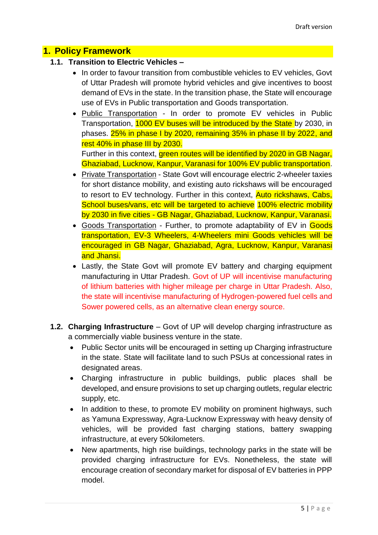#### **1. Policy Framework**

#### **1.1. Transition to Electric Vehicles –**

- In order to favour transition from combustible vehicles to EV vehicles, Govt of Uttar Pradesh will promote hybrid vehicles and give incentives to boost demand of EVs in the state. In the transition phase, the State will encourage use of EVs in Public transportation and Goods transportation.
- Public Transportation In order to promote EV vehicles in Public Transportation, 1000 EV buses will be introduced by the State by 2030, in phases. 25% in phase I by 2020, remaining 35% in phase II by 2022, and rest 40% in phase III by 2030.

Further in this context, green routes will be identified by 2020 in GB Nagar, Ghaziabad, Lucknow, Kanpur, Varanasi for 100% EV public transportation.

- Private Transportation State Govt will encourage electric 2-wheeler taxies for short distance mobility, and existing auto rickshaws will be encouraged to resort to EV technology. Further in this context, Auto rickshaws, Cabs, School buses/vans, etc will be targeted to achieve 100% electric mobility by 2030 in five cities - GB Nagar, Ghaziabad, Lucknow, Kanpur, Varanasi.
- Goods Transportation Further, to promote adaptability of EV in Goods transportation, EV-3 Wheelers, 4-Wheelers mini Goods vehicles will be encouraged in GB Nagar, Ghaziabad, Agra, Lucknow, Kanpur, Varanasi and Jhansi.
- Lastly, the State Govt will promote EV battery and charging equipment manufacturing in Uttar Pradesh. Govt of UP will incentivise manufacturing of lithium batteries with higher mileage per charge in Uttar Pradesh. Also, the state will incentivise manufacturing of Hydrogen-powered fuel cells and Sower powered cells, as an alternative clean energy source.
- **1.2. Charging Infrastructure** Govt of UP will develop charging infrastructure as a commercially viable business venture in the state.
	- Public Sector units will be encouraged in setting up Charging infrastructure in the state. State will facilitate land to such PSUs at concessional rates in designated areas.
	- Charging infrastructure in public buildings, public places shall be developed, and ensure provisions to set up charging outlets, regular electric supply, etc.
	- In addition to these, to promote EV mobility on prominent highways, such as Yamuna Expressway, Agra-Lucknow Expressway with heavy density of vehicles, will be provided fast charging stations, battery swapping infrastructure, at every 50kilometers.
	- New apartments, high rise buildings, technology parks in the state will be provided charging infrastructure for EVs. Nonetheless, the state will encourage creation of secondary market for disposal of EV batteries in PPP model.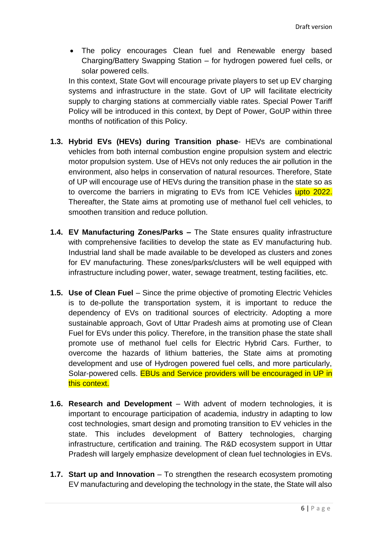The policy encourages Clean fuel and Renewable energy based Charging/Battery Swapping Station – for hydrogen powered fuel cells, or solar powered cells.

In this context, State Govt will encourage private players to set up EV charging systems and infrastructure in the state. Govt of UP will facilitate electricity supply to charging stations at commercially viable rates. Special Power Tariff Policy will be introduced in this context, by Dept of Power, GoUP within three months of notification of this Policy.

- **1.3. Hybrid EVs (HEVs) during Transition phase** HEVs are combinational vehicles from both internal combustion engine propulsion system and electric motor propulsion system. Use of HEVs not only reduces the air pollution in the environment, also helps in conservation of natural resources. Therefore, State of UP will encourage use of HEVs during the transition phase in the state so as to overcome the barriers in migrating to EVs from ICE Vehicles upto 2022. Thereafter, the State aims at promoting use of methanol fuel cell vehicles, to smoothen transition and reduce pollution.
- **1.4. EV Manufacturing Zones/Parks –** The State ensures quality infrastructure with comprehensive facilities to develop the state as EV manufacturing hub. Industrial land shall be made available to be developed as clusters and zones for EV manufacturing. These zones/parks/clusters will be well equipped with infrastructure including power, water, sewage treatment, testing facilities, etc.
- **1.5. Use of Clean Fuel** Since the prime objective of promoting Electric Vehicles is to de-pollute the transportation system, it is important to reduce the dependency of EVs on traditional sources of electricity. Adopting a more sustainable approach, Govt of Uttar Pradesh aims at promoting use of Clean Fuel for EVs under this policy. Therefore, in the transition phase the state shall promote use of methanol fuel cells for Electric Hybrid Cars. Further, to overcome the hazards of lithium batteries, the State aims at promoting development and use of Hydrogen powered fuel cells, and more particularly, Solar-powered cells. EBUs and Service providers will be encouraged in UP in this context.
- **1.6. Research and Development** With advent of modern technologies, it is important to encourage participation of academia, industry in adapting to low cost technologies, smart design and promoting transition to EV vehicles in the state. This includes development of Battery technologies, charging infrastructure, certification and training. The R&D ecosystem support in Uttar Pradesh will largely emphasize development of clean fuel technologies in EVs.
- **1.7. Start up and Innovation** To strengthen the research ecosystem promoting EV manufacturing and developing the technology in the state, the State will also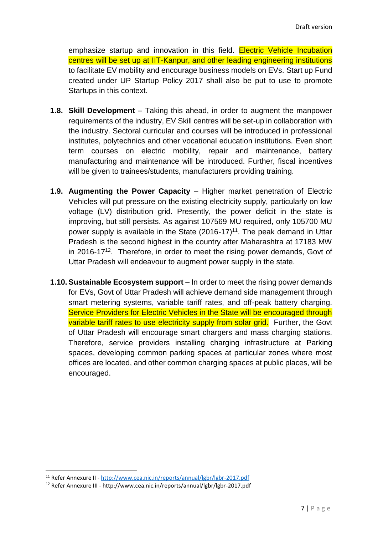emphasize startup and innovation in this field. **Electric Vehicle Incubation** centres will be set up at IIT-Kanpur, and other leading engineering institutions to facilitate EV mobility and encourage business models on EVs. Start up Fund created under UP Startup Policy 2017 shall also be put to use to promote Startups in this context.

- **1.8. Skill Development** Taking this ahead, in order to augment the manpower requirements of the industry, EV Skill centres will be set-up in collaboration with the industry. Sectoral curricular and courses will be introduced in professional institutes, polytechnics and other vocational education institutions. Even short term courses on electric mobility, repair and maintenance, battery manufacturing and maintenance will be introduced. Further, fiscal incentives will be given to trainees/students, manufacturers providing training.
- **1.9. Augmenting the Power Capacity** Higher market penetration of Electric Vehicles will put pressure on the existing electricity supply, particularly on low voltage (LV) distribution grid. Presently, the power deficit in the state is improving, but still persists. As against 107569 MU required, only 105700 MU power supply is available in the State  $(2016-17)^{11}$ . The peak demand in Uttar Pradesh is the second highest in the country after Maharashtra at 17183 MW in 2016-17<sup>12</sup>. Therefore, in order to meet the rising power demands, Govt of Uttar Pradesh will endeavour to augment power supply in the state.
- **1.10. Sustainable Ecosystem support** In order to meet the rising power demands for EVs, Govt of Uttar Pradesh will achieve demand side management through smart metering systems, variable tariff rates, and off-peak battery charging. Service Providers for Electric Vehicles in the State will be encouraged through variable tariff rates to use electricity supply from solar grid. Further, the Govt of Uttar Pradesh will encourage smart chargers and mass charging stations. Therefore, service providers installing charging infrastructure at Parking spaces, developing common parking spaces at particular zones where most offices are located, and other common charging spaces at public places, will be encouraged.

<sup>1</sup> <sup>11</sup> Refer Annexure II - <http://www.cea.nic.in/reports/annual/lgbr/lgbr-2017.pdf>

<sup>12</sup> Refer Annexure III - http://www.cea.nic.in/reports/annual/lgbr/lgbr-2017.pdf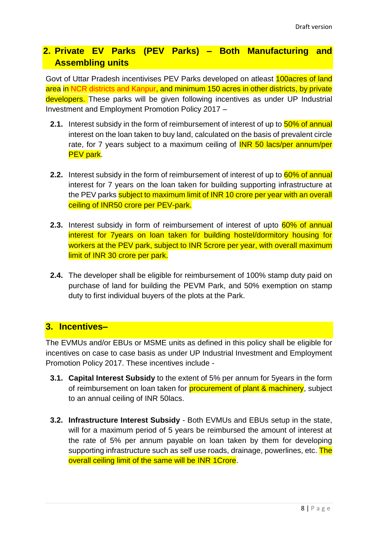# **2. Private EV Parks (PEV Parks) – Both Manufacturing and Assembling units**

Govt of Uttar Pradesh incentivises PEV Parks developed on atleast 100acres of land area in NCR districts and Kanpur, and minimum 150 acres in other districts, by private developers. These parks will be given following incentives as under UP Industrial Investment and Employment Promotion Policy 2017 –

- **2.1.** Interest subsidy in the form of reimbursement of interest of up to  $\frac{50\%}{50\%}$  of annual interest on the loan taken to buy land, calculated on the basis of prevalent circle rate, for 7 years subject to a maximum ceiling of **INR 50 lacs/per annum/per** PEV park.
- **2.2.** Interest subsidy in the form of reimbursement of interest of up to **60% of annual** interest for 7 years on the loan taken for building supporting infrastructure at the PEV parks subject to maximum limit of INR 10 crore per year with an overall ceiling of INR50 crore per PEV-park.
- **2.3.** Interest subsidy in form of reimbursement of interest of upto 60% of annual interest for 7years on loan taken for building hostel/dormitory housing for workers at the PEV park, subject to INR 5crore per year, with overall maximum limit of INR 30 crore per park.
- **2.4.** The developer shall be eligible for reimbursement of 100% stamp duty paid on purchase of land for building the PEVM Park, and 50% exemption on stamp duty to first individual buyers of the plots at the Park.

## **3. Incentives–**

The EVMUs and/or EBUs or MSME units as defined in this policy shall be eligible for incentives on case to case basis as under UP Industrial Investment and Employment Promotion Policy 2017. These incentives include -

- **3.1. Capital Interest Subsidy** to the extent of 5% per annum for 5years in the form of reimbursement on loan taken for **procurement of plant & machinery**, subject to an annual ceiling of INR 50lacs.
- **3.2. Infrastructure Interest Subsidy**  Both EVMUs and EBUs setup in the state, will for a maximum period of 5 years be reimbursed the amount of interest at the rate of 5% per annum payable on loan taken by them for developing supporting infrastructure such as self use roads, drainage, powerlines, etc. The overall ceiling limit of the same will be INR 1Crore.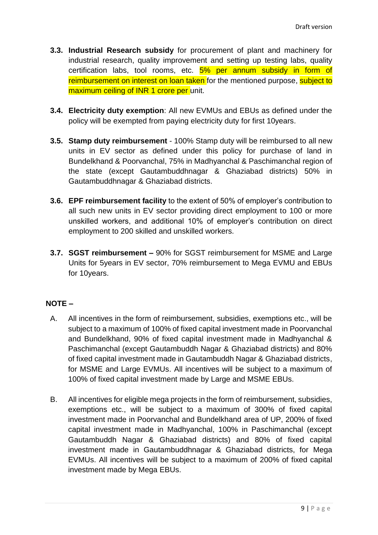- **3.3. Industrial Research subsidy** for procurement of plant and machinery for industrial research, quality improvement and setting up testing labs, quality certification labs, tool rooms, etc. 5% per annum subsidy in form of reimbursement on interest on loan taken for the mentioned purpose, subject to maximum ceiling of INR 1 crore per unit.
- **3.4. Electricity duty exemption**: All new EVMUs and EBUs as defined under the policy will be exempted from paying electricity duty for first 10years.
- **3.5. Stamp duty reimbursement** 100% Stamp duty will be reimbursed to all new units in EV sector as defined under this policy for purchase of land in Bundelkhand & Poorvanchal, 75% in Madhyanchal & Paschimanchal region of the state (except Gautambuddhnagar & Ghaziabad districts) 50% in Gautambuddhnagar & Ghaziabad districts.
- **3.6. EPF reimbursement facility** to the extent of 50% of employer's contribution to all such new units in EV sector providing direct employment to 100 or more unskilled workers, and additional 10% of employer's contribution on direct employment to 200 skilled and unskilled workers.
- **3.7. SGST reimbursement –** 90% for SGST reimbursement for MSME and Large Units for 5years in EV sector, 70% reimbursement to Mega EVMU and EBUs for 10years.

#### **NOTE –**

- A. All incentives in the form of reimbursement, subsidies, exemptions etc., will be subject to a maximum of 100% of fixed capital investment made in Poorvanchal and Bundelkhand, 90% of fixed capital investment made in Madhyanchal & Paschimanchal (except Gautambuddh Nagar & Ghaziabad districts) and 80% of fixed capital investment made in Gautambuddh Nagar & Ghaziabad districts, for MSME and Large EVMUs. All incentives will be subject to a maximum of 100% of fixed capital investment made by Large and MSME EBUs.
- B. All incentives for eligible mega projects in the form of reimbursement, subsidies, exemptions etc., will be subject to a maximum of 300% of fixed capital investment made in Poorvanchal and Bundelkhand area of UP, 200% of fixed capital investment made in Madhyanchal, 100% in Paschimanchal (except Gautambuddh Nagar & Ghaziabad districts) and 80% of fixed capital investment made in Gautambuddhnagar & Ghaziabad districts, for Mega EVMUs. All incentives will be subject to a maximum of 200% of fixed capital investment made by Mega EBUs.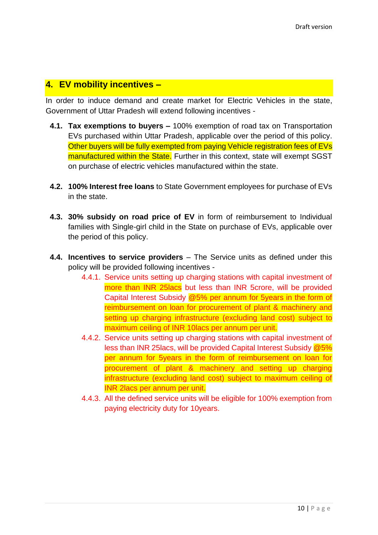## **4. EV mobility incentives –**

In order to induce demand and create market for Electric Vehicles in the state, Government of Uttar Pradesh will extend following incentives -

- **4.1. Tax exemptions to buyers –** 100% exemption of road tax on Transportation EVs purchased within Uttar Pradesh, applicable over the period of this policy. Other buyers will be fully exempted from paying Vehicle registration fees of EVs manufactured within the State. Further in this context, state will exempt SGST on purchase of electric vehicles manufactured within the state.
- **4.2. 100% Interest free loans** to State Government employees for purchase of EVs in the state.
- **4.3. 30% subsidy on road price of EV** in form of reimbursement to Individual families with Single-girl child in the State on purchase of EVs, applicable over the period of this policy.
- **4.4. Incentives to service providers** The Service units as defined under this policy will be provided following incentives -
	- 4.4.1. Service units setting up charging stations with capital investment of more than INR 25lacs but less than INR 5crore, will be provided Capital Interest Subsidy @5% per annum for 5years in the form of reimbursement on loan for procurement of plant & machinery and setting up charging infrastructure (excluding land cost) subject to maximum ceiling of INR 10lacs per annum per unit.
	- 4.4.2. Service units setting up charging stations with capital investment of less than INR 25lacs, will be provided Capital Interest Subsidy @5% per annum for 5years in the form of reimbursement on loan for procurement of plant & machinery and setting up charging infrastructure (excluding land cost) subject to maximum ceiling of INR 2lacs per annum per unit.
	- 4.4.3. All the defined service units will be eligible for 100% exemption from paying electricity duty for 10years.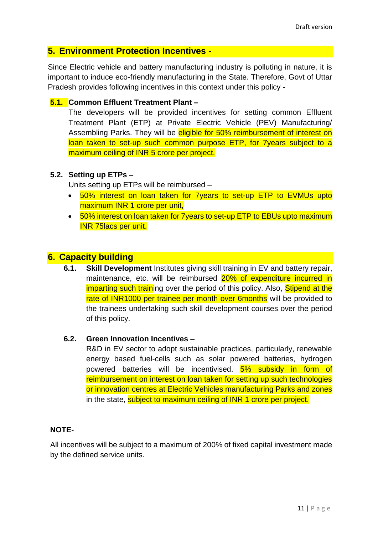### **5. Environment Protection Incentives -**

Since Electric vehicle and battery manufacturing industry is polluting in nature, it is important to induce eco-friendly manufacturing in the State. Therefore, Govt of Uttar Pradesh provides following incentives in this context under this policy -

#### **5.1. Common Effluent Treatment Plant –**

The developers will be provided incentives for setting common Effluent Treatment Plant (ETP) at Private Electric Vehicle (PEV) Manufacturing/ Assembling Parks. They will be eligible for 50% reimbursement of interest on loan taken to set-up such common purpose ETP, for 7years subject to a maximum ceiling of INR 5 crore per project.

#### **5.2. Setting up ETPs –**

Units setting up ETPs will be reimbursed –

- 50% interest on loan taken for 7years to set-up ETP to EVMUs upto maximum INR 1 crore per unit,
- 50% interest on loan taken for 7 years to set-up ETP to EBUs upto maximum INR 75lacs per unit.

#### **6. Capacity building**

**6.1. Skill Development** Institutes giving skill training in EV and battery repair, maintenance, etc. will be reimbursed 20% of expenditure incurred in imparting such training over the period of this policy. Also, **Stipend at the** rate of INR1000 per trainee per month over 6months will be provided to the trainees undertaking such skill development courses over the period of this policy.

#### **6.2. Green Innovation Incentives –**

R&D in EV sector to adopt sustainable practices, particularly, renewable energy based fuel-cells such as solar powered batteries, hydrogen powered batteries will be incentivised. 5% subsidy in form of reimbursement on interest on loan taken for setting up such technologies or innovation centres at Electric Vehicles manufacturing Parks and zones in the state, subject to maximum ceiling of INR 1 crore per project.

#### **NOTE-**

All incentives will be subject to a maximum of 200% of fixed capital investment made by the defined service units.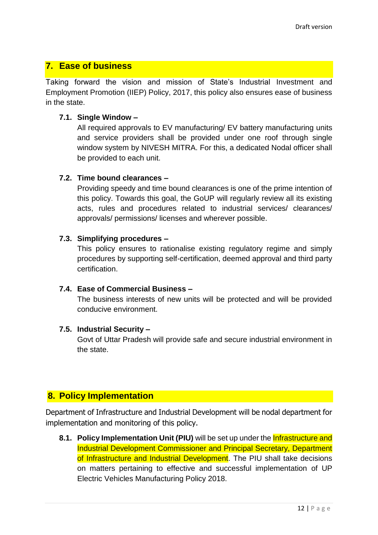## **7. Ease of business**

Taking forward the vision and mission of State's Industrial Investment and Employment Promotion (IIEP) Policy, 2017, this policy also ensures ease of business in the state.

#### **7.1. Single Window –**

All required approvals to EV manufacturing/ EV battery manufacturing units and service providers shall be provided under one roof through single window system by NIVESH MITRA. For this, a dedicated Nodal officer shall be provided to each unit.

#### **7.2. Time bound clearances –**

Providing speedy and time bound clearances is one of the prime intention of this policy. Towards this goal, the GoUP will regularly review all its existing acts, rules and procedures related to industrial services/ clearances/ approvals/ permissions/ licenses and wherever possible.

#### **7.3. Simplifying procedures –**

This policy ensures to rationalise existing regulatory regime and simply procedures by supporting self-certification, deemed approval and third party certification.

#### **7.4. Ease of Commercial Business –**

The business interests of new units will be protected and will be provided conducive environment.

#### **7.5. Industrial Security –**

Govt of Uttar Pradesh will provide safe and secure industrial environment in the state.

## **8. Policy Implementation**

Department of Infrastructure and Industrial Development will be nodal department for implementation and monitoring of this policy.

**8.1. Policy Implementation Unit (PIU)** will be set up under the **Infrastructure and** Industrial Development Commissioner and Principal Secretary, Department of Infrastructure and Industrial Development. The PIU shall take decisions on matters pertaining to effective and successful implementation of UP Electric Vehicles Manufacturing Policy 2018.